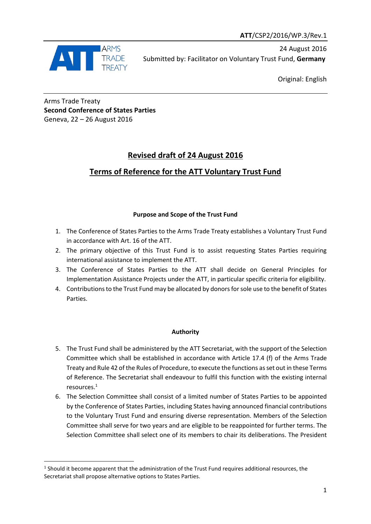

1

24 August 2016 Submitted by: Facilitator on Voluntary Trust Fund, **Germany** 

Original: English

## Arms Trade Treaty **Second Conference of States Parties** Geneva, 22 – 26 August 2016

# **Revised draft of 24 August 2016**

# **Terms of Reference for the ATT Voluntary Trust Fund**

## **Purpose and Scope of the Trust Fund**

- 1. The Conference of States Parties to the Arms Trade Treaty establishes a Voluntary Trust Fund in accordance with Art. 16 of the ATT.
- 2. The primary objective of this Trust Fund is to assist requesting States Parties requiring international assistance to implement the ATT.
- 3. The Conference of States Parties to the ATT shall decide on General Principles for Implementation Assistance Projects under the ATT, in particular specific criteria for eligibility.
- 4. Contributions to the Trust Fund may be allocated by donors for sole use to the benefit of States Parties.

## **Authority**

- 5. The Trust Fund shall be administered by the ATT Secretariat, with the support of the Selection Committee which shall be established in accordance with Article 17.4 (f) of the Arms Trade Treaty and Rule 42 of the Rules of Procedure, to execute the functions as set out in these Terms of Reference. The Secretariat shall endeavour to fulfil this function with the existing internal resources.<sup>1</sup>
- 6. The Selection Committee shall consist of a limited number of States Parties to be appointed by the Conference of States Parties, including States having announced financial contributions to the Voluntary Trust Fund and ensuring diverse representation. Members of the Selection Committee shall serve for two years and are eligible to be reappointed for further terms. The Selection Committee shall select one of its members to chair its deliberations. The President

<sup>&</sup>lt;sup>1</sup> Should it become apparent that the administration of the Trust Fund requires additional resources, the Secretariat shall propose alternative options to States Parties.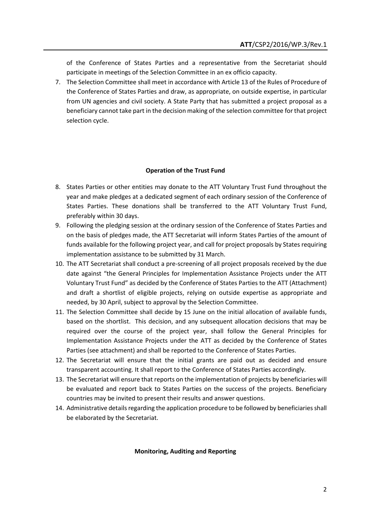of the Conference of States Parties and a representative from the Secretariat should participate in meetings of the Selection Committee in an ex officio capacity.

7. The Selection Committee shall meet in accordance with Article 13 of the Rules of Procedure of the Conference of States Parties and draw, as appropriate, on outside expertise, in particular from UN agencies and civil society. A State Party that has submitted a project proposal as a beneficiary cannot take part in the decision making of the selection committee for that project selection cycle.

#### **Operation of the Trust Fund**

- 8. States Parties or other entities may donate to the ATT Voluntary Trust Fund throughout the year and make pledges at a dedicated segment of each ordinary session of the Conference of States Parties. These donations shall be transferred to the ATT Voluntary Trust Fund, preferably within 30 days.
- 9. Following the pledging session at the ordinary session of the Conference of States Parties and on the basis of pledges made, the ATT Secretariat will inform States Parties of the amount of funds available for the following project year, and call for project proposals by States requiring implementation assistance to be submitted by 31 March.
- 10. The ATT Secretariat shall conduct a pre-screening of all project proposals received by the due date against "the General Principles for Implementation Assistance Projects under the ATT Voluntary Trust Fund" as decided by the Conference of States Parties to the ATT (Attachment) and draft a shortlist of eligible projects, relying on outside expertise as appropriate and needed, by 30 April, subject to approval by the Selection Committee.
- 11. The Selection Committee shall decide by 15 June on the initial allocation of available funds, based on the shortlist. This decision, and any subsequent allocation decisions that may be required over the course of the project year, shall follow the General Principles for Implementation Assistance Projects under the ATT as decided by the Conference of States Parties (see attachment) and shall be reported to the Conference of States Parties.
- 12. The Secretariat will ensure that the initial grants are paid out as decided and ensure transparent accounting. It shall report to the Conference of States Parties accordingly.
- 13. The Secretariat will ensure that reports on the implementation of projects by beneficiaries will be evaluated and report back to States Parties on the success of the projects. Beneficiary countries may be invited to present their results and answer questions.
- 14. Administrative details regarding the application procedure to be followed by beneficiaries shall be elaborated by the Secretariat.

#### **Monitoring, Auditing and Reporting**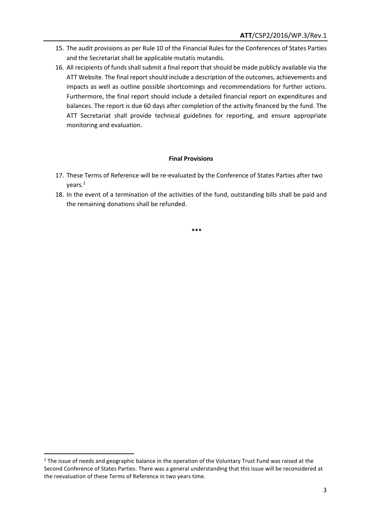- 15. The audit provisions as per Rule 10 of the Financial Rules for the Conferences of States Parties and the Secretariat shall be applicable mutatis mutandis.
- 16. All recipients of funds shall submit a final report that should be made publicly available via the ATT Website. The final report should include a description of the outcomes, achievements and impacts as well as outline possible shortcomings and recommendations for further actions. Furthermore, the final report should include a detailed financial report on expenditures and balances. The report is due 60 days after completion of the activity financed by the fund. The ATT Secretariat shall provide technical guidelines for reporting, and ensure appropriate monitoring and evaluation.

### **Final Provisions**

- 17. These Terms of Reference will be re-evaluated by the Conference of States Parties after two years.<sup>2</sup>
- 18. In the event of a termination of the activities of the fund, outstanding bills shall be paid and the remaining donations shall be refunded.

**\*\*\***

**.** 

<sup>&</sup>lt;sup>2</sup> The issue of needs and geographic balance in the operation of the Voluntary Trust Fund was raised at the Second Conference of States Parties. There was a general understanding that this issue will be reconsidered at the reevaluation of these Terms of Reference in two years time.